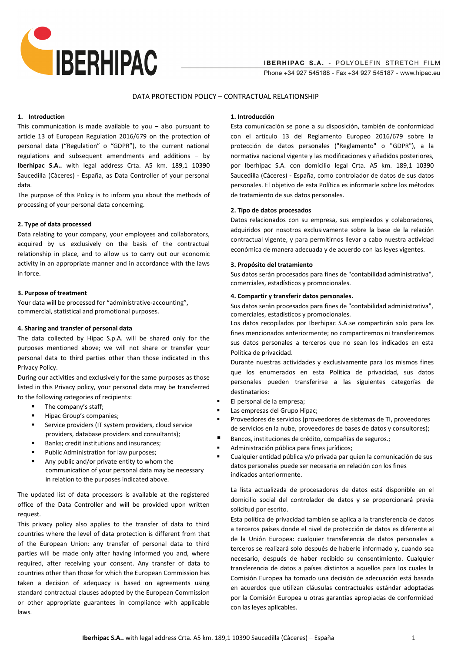

### DATA PROTECTION POLICY – CONTRACTUAL RELATIONSHIP

## **1. Introduction**

This communication is made available to you  $-$  also pursuant to article 13 of European Regulation 2016/679 on the protection of personal data ("Regulation" o "GDPR"), to the current national regulations and subsequent amendments and additions – by **Iberhipac S.A..** with legal address Crta. A5 km. 189,1 10390 Saucedilla (Càceres) - España, as Data Controller of your personal data.

The purpose of this Policy is to inform you about the methods of processing of your personal data concerning.

### **2. Type of data processed**

Data relating to your company, your employees and collaborators, acquired by us exclusively on the basis of the contractual relationship in place, and to allow us to carry out our economic activity in an appropriate manner and in accordance with the laws in force.

#### **3. Purpose of treatment**

Your data will be processed for "administrative-accounting", commercial, statistical and promotional purposes.

# **4. Sharing and transfer of personal data**

The data collected by Hipac S.p.A. will be shared only for the purposes mentioned above; we will not share or transfer your personal data to third parties other than those indicated in this Privacy Policy.

During our activities and exclusively for the same purposes as those listed in this Privacy policy, your personal data may be transferred to the following categories of recipients:

- The company's staff;
- Hipac Group's companies;
- Service providers (IT system providers, cloud service providers, database providers and consultants);
- Banks; credit institutions and insurances;
- Public Administration for law purposes;
- Any public and/or private entity to whom the communication of your personal data may be necessary in relation to the purposes indicated above.

The updated list of data processors is available at the registered office of the Data Controller and will be provided upon written request.

This privacy policy also applies to the transfer of data to third countries where the level of data protection is different from that of the European Union: any transfer of personal data to third parties will be made only after having informed you and, where required, after receiving your consent. Any transfer of data to countries other than those for which the European Commission has taken a decision of adequacy is based on agreements using standard contractual clauses adopted by the European Commission or other appropriate guarantees in compliance with applicable laws.

## **1. Introducción**

Esta comunicación se pone a su disposición, también de conformidad con el artículo 13 del Reglamento Europeo 2016/679 sobre la protección de datos personales ("Reglamento" o "GDPR"), a la normativa nacional vigente y las modificaciones y añadidos posteriores, por Iberhipac S.A. con domicilio legal Crta. A5 km. 189,1 10390 Saucedilla (Càceres) - España, como controlador de datos de sus datos personales. El objetivo de esta Política es informarle sobre los métodos de tratamiento de sus datos personales.

#### **2. Tipo de datos procesados**

Datos relacionados con su empresa, sus empleados y colaboradores, adquiridos por nosotros exclusivamente sobre la base de la relación contractual vigente, y para permitirnos llevar a cabo nuestra actividad económica de manera adecuada y de acuerdo con las leyes vigentes.

#### **3. Propósito del tratamiento**

Sus datos serán procesados para fines de "contabilidad administrativa", comerciales, estadísticos y promocionales.

# **4. Compartir y transferir datos personales.**

Sus datos serán procesados para fines de "contabilidad administrativa", comerciales, estadísticos y promocionales.

Los datos recopilados por Iberhipac S.A.se compartirán solo para los fines mencionados anteriormente; no compartiremos ni transferiremos sus datos personales a terceros que no sean los indicados en esta Política de privacidad.

Durante nuestras actividades y exclusivamente para los mismos fines que los enumerados en esta Política de privacidad, sus datos personales pueden transferirse a las siguientes categorías de destinatarios:

- El personal de la empresa;
- Las empresas del Grupo Hipac;
- Proveedores de servicios (proveedores de sistemas de TI, proveedores de servicios en la nube, proveedores de bases de datos y consultores);
- Bancos, instituciones de crédito, compañías de seguros.;
- Administración pública para fines jurídicos;
	- Cualquier entidad pública y/o privada par quien la comunicación de sus datos personales puede ser necesaria en relación con los fines indicados anteriormente.

La lista actualizada de procesadores de datos está disponible en el domicilio social del controlador de datos y se proporcionará previa solicitud por escrito.

Esta política de privacidad también se aplica a la transferencia de datos a terceros países donde el nivel de protección de datos es diferente al de la Unión Europea: cualquier transferencia de datos personales a terceros se realizará solo después de haberle informado y, cuando sea necesario, después de haber recibido su consentimiento. Cualquier transferencia de datos a países distintos a aquellos para los cuales la Comisión Europea ha tomado una decisión de adecuación está basada en acuerdos que utilizan cláusulas contractuales estándar adoptadas por la Comisión Europea u otras garantías apropiadas de conformidad con las leyes aplicables.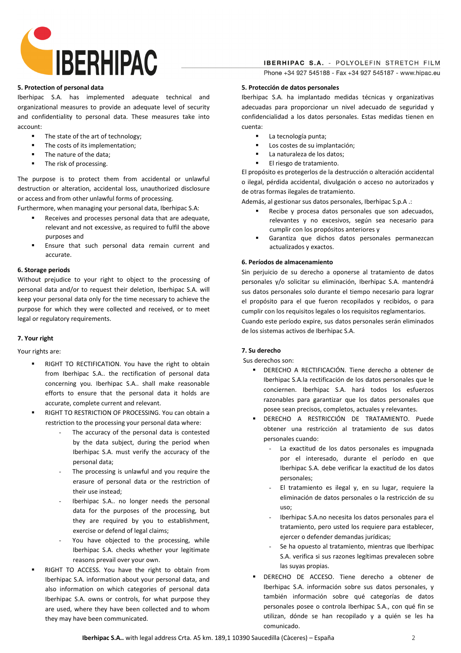

**IBERHIPAC S.A. - POLYOLEFIN STRETCH FILM** Phone +34 927 545188 - Fax +34 927 545187 - www.hipac.eu

#### **5. Protection of personal data**

Iberhipac S.A. has implemented adequate technical and organizational measures to provide an adequate level of security and confidentiality to personal data. These measures take into account:

- The state of the art of technology;
- The costs of its implementation;
- The nature of the data;
- The risk of processing.

The purpose is to protect them from accidental or unlawful destruction or alteration, accidental loss, unauthorized disclosure or access and from other unlawful forms of processing.

Furthermore, when managing your personal data, Iberhipac S.A:

- Receives and processes personal data that are adequate, relevant and not excessive, as required to fulfil the above purposes and
- Ensure that such personal data remain current and accurate.

# **6. Storage periods**

Without prejudice to your right to object to the processing of personal data and/or to request their deletion, Iberhipac S.A. will keep your personal data only for the time necessary to achieve the purpose for which they were collected and received, or to meet legal or regulatory requirements.

# **7. Your right**

Your rights are:

- RIGHT TO RECTIFICATION. You have the right to obtain from Iberhipac S.A.. the rectification of personal data concerning you. Iberhipac S.A.. shall make reasonable efforts to ensure that the personal data it holds are accurate, complete current and relevant.
- RIGHT TO RESTRICTION OF PROCESSING. You can obtain a restriction to the processing your personal data where:
	- The accuracy of the personal data is contested by the data subject, during the period when Iberhipac S.A. must verify the accuracy of the personal data;
	- The processing is unlawful and you require the erasure of personal data or the restriction of their use instead;
	- Iberhipac S.A.. no longer needs the personal data for the purposes of the processing, but they are required by you to establishment, exercise or defend of legal claims;
	- You have objected to the processing, while Iberhipac S.A. checks whether your legitimate reasons prevail over your own.
- RIGHT TO ACCESS. You have the right to obtain from Iberhipac S.A. information about your personal data, and also information on which categories of personal data Iberhipac S.A. owns or controls, for what purpose they are used, where they have been collected and to whom they may have been communicated.

### **5. Protección de datos personales**

Iberhipac S.A. ha implantado medidas técnicas y organizativas adecuadas para proporcionar un nivel adecuado de seguridad y confidencialidad a los datos personales. Estas medidas tienen en cuenta:

- La tecnología punta;
- Los costes de su implantación;
- La naturaleza de los datos;
- El riesgo de tratamiento.

El propósito es protegerlos de la destrucción o alteración accidental o ilegal, pérdida accidental, divulgación o acceso no autorizados y de otras formas ilegales de tratamiento.

Además, al gestionar sus datos personales, Iberhipac S.p.A .:

- Recibe y procesa datos personales que son adecuados, relevantes y no excesivos, según sea necesario para cumplir con los propósitos anteriores y
- Garantiza que dichos datos personales permanezcan actualizados y exactos.

# **6. Períodos de almacenamiento**

Sin perjuicio de su derecho a oponerse al tratamiento de datos personales y/o solicitar su eliminación, Iberhipac S.A. mantendrá sus datos personales solo durante el tiempo necesario para lograr el propósito para el que fueron recopilados y recibidos, o para cumplir con los requisitos legales o los requisitos reglamentarios. Cuando este período expire, sus datos personales serán eliminados de los sistemas activos de Iberhipac S.A.

# **7. Su derecho**

Sus derechos son:

- DERECHO A RECTIFICACIÓN. Tiene derecho a obtener de Iberhipac S.A.la rectificación de los datos personales que le conciernen. Iberhipac S.A. hará todos los esfuerzos razonables para garantizar que los datos personales que posee sean precisos, completos, actuales y relevantes.
- DERECHO A RESTRICCIÓN DE TRATAMIENTO. Puede obtener una restricción al tratamiento de sus datos personales cuando:
	- La exactitud de los datos personales es impugnada por el interesado, durante el período en que Iberhipac S.A. debe verificar la exactitud de los datos personales;
	- El tratamiento es ilegal y, en su lugar, requiere la eliminación de datos personales o la restricción de su uso;
	- Iberhipac S.A.no necesita los datos personales para el tratamiento, pero usted los requiere para establecer, ejercer o defender demandas jurídicas;
	- Se ha opuesto al tratamiento, mientras que Iberhipac S.A. verifica si sus razones legítimas prevalecen sobre las suyas propias.
- DERECHO DE ACCESO. Tiene derecho a obtener de Iberhipac S.A. información sobre sus datos personales, y también información sobre qué categorías de datos personales posee o controla Iberhipac S.A., con qué fin se utilizan, dónde se han recopilado y a quién se les ha comunicado.